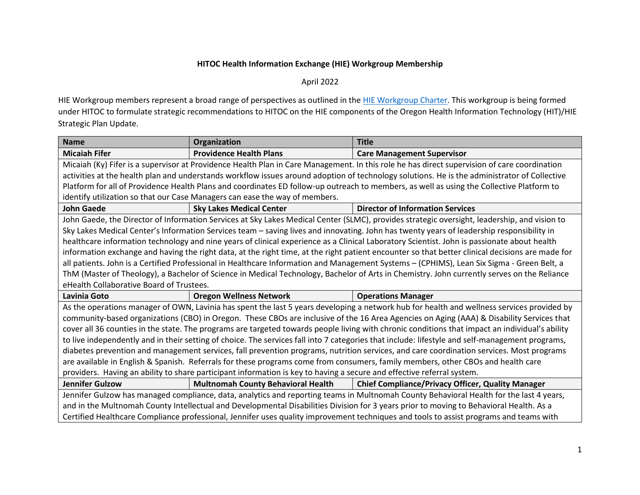## **HITOC Health Information Exchange (HIE) Workgroup Membership**

April 2022

HIE Workgroup members represent a broad range of perspectives as outlined in the [HIE Workgroup Charter.](https://www.oregon.gov/oha/HPA/OHIT-HITOC/Documents/HIECharter.pdf) This workgroup is being formed under HITOC to formulate strategic recommendations to HITOC on the HIE components of the Oregon Health Information Technology (HIT)/HIE Strategic Plan Update.

| <b>Name</b>                                                                                                                                      | Organization                                                                | <b>Title</b>                                                                                                                                 |  |  |
|--------------------------------------------------------------------------------------------------------------------------------------------------|-----------------------------------------------------------------------------|----------------------------------------------------------------------------------------------------------------------------------------------|--|--|
| <b>Micaiah Fifer</b>                                                                                                                             | <b>Providence Health Plans</b>                                              | <b>Care Management Supervisor</b>                                                                                                            |  |  |
|                                                                                                                                                  |                                                                             | Micaiah (Ky) Fifer is a supervisor at Providence Health Plan in Care Management. In this role he has direct supervision of care coordination |  |  |
|                                                                                                                                                  |                                                                             | activities at the health plan and understands workflow issues around adoption of technology solutions. He is the administrator of Collective |  |  |
|                                                                                                                                                  |                                                                             | Platform for all of Providence Health Plans and coordinates ED follow-up outreach to members, as well as using the Collective Platform to    |  |  |
|                                                                                                                                                  | identify utilization so that our Case Managers can ease the way of members. |                                                                                                                                              |  |  |
| <b>John Gaede</b>                                                                                                                                | <b>Sky Lakes Medical Center</b>                                             | <b>Director of Information Services</b>                                                                                                      |  |  |
| John Gaede, the Director of Information Services at Sky Lakes Medical Center (SLMC), provides strategic oversight, leadership, and vision to     |                                                                             |                                                                                                                                              |  |  |
| Sky Lakes Medical Center's Information Services team - saving lives and innovating. John has twenty years of leadership responsibility in        |                                                                             |                                                                                                                                              |  |  |
| healthcare information technology and nine years of clinical experience as a Clinical Laboratory Scientist. John is passionate about health      |                                                                             |                                                                                                                                              |  |  |
| information exchange and having the right data, at the right time, at the right patient encounter so that better clinical decisions are made for |                                                                             |                                                                                                                                              |  |  |
| all patients. John is a Certified Professional in Healthcare Information and Management Systems - (CPHIMS), Lean Six Sigma - Green Belt, a       |                                                                             |                                                                                                                                              |  |  |
| ThM (Master of Theology), a Bachelor of Science in Medical Technology, Bachelor of Arts in Chemistry. John currently serves on the Reliance      |                                                                             |                                                                                                                                              |  |  |
| eHealth Collaborative Board of Trustees.                                                                                                         |                                                                             |                                                                                                                                              |  |  |
| Lavinia Goto                                                                                                                                     | <b>Oregon Wellness Network</b>                                              | <b>Operations Manager</b>                                                                                                                    |  |  |
| As the operations manager of OWN, Lavinia has spent the last 5 years developing a network hub for health and wellness services provided by       |                                                                             |                                                                                                                                              |  |  |
| community-based organizations (CBO) in Oregon. These CBOs are inclusive of the 16 Area Agencies on Aging (AAA) & Disability Services that        |                                                                             |                                                                                                                                              |  |  |
| cover all 36 counties in the state. The programs are targeted towards people living with chronic conditions that impact an individual's ability  |                                                                             |                                                                                                                                              |  |  |
| to live independently and in their setting of choice. The services fall into 7 categories that include: lifestyle and self-management programs,  |                                                                             |                                                                                                                                              |  |  |
| diabetes prevention and management services, fall prevention programs, nutrition services, and care coordination services. Most programs         |                                                                             |                                                                                                                                              |  |  |
| are available in English & Spanish. Referrals for these programs come from consumers, family members, other CBOs and health care                 |                                                                             |                                                                                                                                              |  |  |
| providers. Having an ability to share participant information is key to having a secure and effective referral system.                           |                                                                             |                                                                                                                                              |  |  |
| <b>Jennifer Gulzow</b>                                                                                                                           | <b>Multnomah County Behavioral Health</b>                                   | <b>Chief Compliance/Privacy Officer, Quality Manager</b>                                                                                     |  |  |
| Jennifer Gulzow has managed compliance, data, analytics and reporting teams in Multnomah County Behavioral Health for the last 4 years,          |                                                                             |                                                                                                                                              |  |  |
|                                                                                                                                                  |                                                                             |                                                                                                                                              |  |  |
|                                                                                                                                                  |                                                                             | and in the Multnomah County Intellectual and Developmental Disabilities Division for 3 years prior to moving to Behavioral Health. As a      |  |  |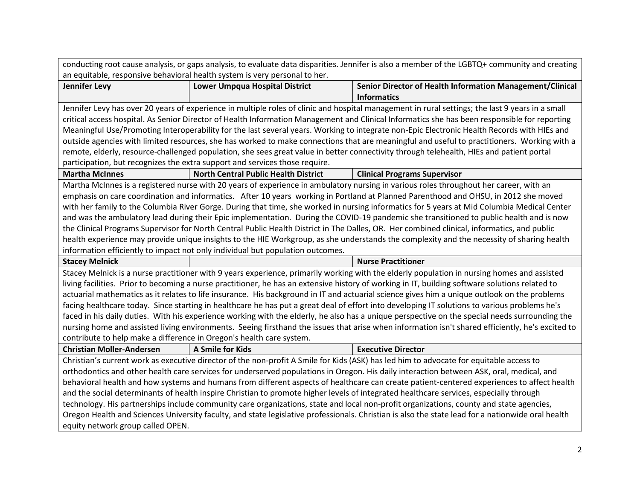| conducting root cause analysis, or gaps analysis, to evaluate data disparities. Jennifer is also a member of the LGBTQ+ community and creating   |                                                                                |                                                                                                                                                   |  |  |
|--------------------------------------------------------------------------------------------------------------------------------------------------|--------------------------------------------------------------------------------|---------------------------------------------------------------------------------------------------------------------------------------------------|--|--|
|                                                                                                                                                  | an equitable, responsive behavioral health system is very personal to her.     |                                                                                                                                                   |  |  |
| <b>Jennifer Levy</b>                                                                                                                             | <b>Lower Umpqua Hospital District</b>                                          | Senior Director of Health Information Management/Clinical                                                                                         |  |  |
|                                                                                                                                                  |                                                                                | <b>Informatics</b>                                                                                                                                |  |  |
|                                                                                                                                                  |                                                                                | Jennifer Levy has over 20 years of experience in multiple roles of clinic and hospital management in rural settings; the last 9 years in a small  |  |  |
|                                                                                                                                                  |                                                                                | critical access hospital. As Senior Director of Health Information Management and Clinical Informatics she has been responsible for reporting     |  |  |
|                                                                                                                                                  |                                                                                | Meaningful Use/Promoting Interoperability for the last several years. Working to integrate non-Epic Electronic Health Records with HIEs and       |  |  |
|                                                                                                                                                  |                                                                                | outside agencies with limited resources, she has worked to make connections that are meaningful and useful to practitioners. Working with a       |  |  |
|                                                                                                                                                  |                                                                                | remote, elderly, resource-challenged population, she sees great value in better connectivity through telehealth, HIEs and patient portal          |  |  |
|                                                                                                                                                  | participation, but recognizes the extra support and services those require.    |                                                                                                                                                   |  |  |
| <b>Martha McInnes</b>                                                                                                                            | <b>North Central Public Health District</b>                                    | <b>Clinical Programs Supervisor</b>                                                                                                               |  |  |
| Martha McInnes is a registered nurse with 20 years of experience in ambulatory nursing in various roles throughout her career, with an           |                                                                                |                                                                                                                                                   |  |  |
| emphasis on care coordination and informatics. After 10 years working in Portland at Planned Parenthood and OHSU, in 2012 she moved              |                                                                                |                                                                                                                                                   |  |  |
|                                                                                                                                                  |                                                                                | with her family to the Columbia River Gorge. During that time, she worked in nursing informatics for 5 years at Mid Columbia Medical Center       |  |  |
|                                                                                                                                                  |                                                                                | and was the ambulatory lead during their Epic implementation. During the COVID-19 pandemic she transitioned to public health and is now           |  |  |
|                                                                                                                                                  |                                                                                | the Clinical Programs Supervisor for North Central Public Health District in The Dalles, OR. Her combined clinical, informatics, and public       |  |  |
|                                                                                                                                                  |                                                                                | health experience may provide unique insights to the HIE Workgroup, as she understands the complexity and the necessity of sharing health         |  |  |
|                                                                                                                                                  | information efficiently to impact not only individual but population outcomes. |                                                                                                                                                   |  |  |
| <b>Stacey Melnick</b>                                                                                                                            |                                                                                | <b>Nurse Practitioner</b>                                                                                                                         |  |  |
|                                                                                                                                                  |                                                                                | Stacey Melnick is a nurse practitioner with 9 years experience, primarily working with the elderly population in nursing homes and assisted       |  |  |
|                                                                                                                                                  |                                                                                | living facilities. Prior to becoming a nurse practitioner, he has an extensive history of working in IT, building software solutions related to   |  |  |
|                                                                                                                                                  |                                                                                | actuarial mathematics as it relates to life insurance. His background in IT and actuarial science gives him a unique outlook on the problems      |  |  |
| facing healthcare today. Since starting in healthcare he has put a great deal of effort into developing IT solutions to various problems he's    |                                                                                |                                                                                                                                                   |  |  |
| faced in his daily duties. With his experience working with the elderly, he also has a unique perspective on the special needs surrounding the   |                                                                                |                                                                                                                                                   |  |  |
| nursing home and assisted living environments. Seeing firsthand the issues that arise when information isn't shared efficiently, he's excited to |                                                                                |                                                                                                                                                   |  |  |
| contribute to help make a difference in Oregon's health care system.                                                                             |                                                                                |                                                                                                                                                   |  |  |
| <b>Christian Moller-Andersen</b>                                                                                                                 | A Smile for Kids                                                               | <b>Executive Director</b>                                                                                                                         |  |  |
| Christian's current work as executive director of the non-profit A Smile for Kids (ASK) has led him to advocate for equitable access to          |                                                                                |                                                                                                                                                   |  |  |
| orthodontics and other health care services for underserved populations in Oregon. His daily interaction between ASK, oral, medical, and         |                                                                                |                                                                                                                                                   |  |  |
| behavioral health and how systems and humans from different aspects of healthcare can create patient-centered experiences to affect health       |                                                                                |                                                                                                                                                   |  |  |
| and the social determinants of health inspire Christian to promote higher levels of integrated healthcare services, especially through           |                                                                                |                                                                                                                                                   |  |  |
| technology. His partnerships include community care organizations, state and local non-profit organizations, county and state agencies,          |                                                                                |                                                                                                                                                   |  |  |
|                                                                                                                                                  |                                                                                | Oregon Health and Sciences University faculty, and state legislative professionals. Christian is also the state lead for a nationwide oral health |  |  |
| equity network group called OPEN.                                                                                                                |                                                                                |                                                                                                                                                   |  |  |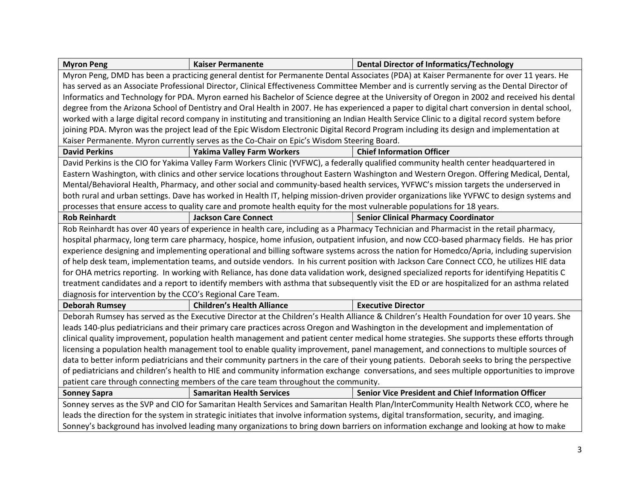| <b>Myron Peng</b>                                                                                                                            | <b>Kaiser Permanente</b>          | <b>Dental Director of Informatics/Technology</b>                                                                                              |  |  |
|----------------------------------------------------------------------------------------------------------------------------------------------|-----------------------------------|-----------------------------------------------------------------------------------------------------------------------------------------------|--|--|
| Myron Peng, DMD has been a practicing general dentist for Permanente Dental Associates (PDA) at Kaiser Permanente for over 11 years. He      |                                   |                                                                                                                                               |  |  |
|                                                                                                                                              |                                   | has served as an Associate Professional Director, Clinical Effectiveness Committee Member and is currently serving as the Dental Director of  |  |  |
|                                                                                                                                              |                                   | Informatics and Technology for PDA. Myron earned his Bachelor of Science degree at the University of Oregon in 2002 and received his dental   |  |  |
|                                                                                                                                              |                                   | degree from the Arizona School of Dentistry and Oral Health in 2007. He has experienced a paper to digital chart conversion in dental school, |  |  |
|                                                                                                                                              |                                   | worked with a large digital record company in instituting and transitioning an Indian Health Service Clinic to a digital record system before |  |  |
|                                                                                                                                              |                                   | joining PDA. Myron was the project lead of the Epic Wisdom Electronic Digital Record Program including its design and implementation at       |  |  |
| Kaiser Permanente. Myron currently serves as the Co-Chair on Epic's Wisdom Steering Board.                                                   |                                   |                                                                                                                                               |  |  |
| <b>David Perkins</b>                                                                                                                         | <b>Yakima Valley Farm Workers</b> | <b>Chief Information Officer</b>                                                                                                              |  |  |
|                                                                                                                                              |                                   | David Perkins is the CIO for Yakima Valley Farm Workers Clinic (YVFWC), a federally qualified community health center headquartered in        |  |  |
|                                                                                                                                              |                                   | Eastern Washington, with clinics and other service locations throughout Eastern Washington and Western Oregon. Offering Medical, Dental,      |  |  |
| Mental/Behavioral Health, Pharmacy, and other social and community-based health services, YVFWC's mission targets the underserved in         |                                   |                                                                                                                                               |  |  |
| both rural and urban settings. Dave has worked in Health IT, helping mission-driven provider organizations like YVFWC to design systems and  |                                   |                                                                                                                                               |  |  |
| processes that ensure access to quality care and promote health equity for the most vulnerable populations for 18 years.                     |                                   |                                                                                                                                               |  |  |
| <b>Rob Reinhardt</b>                                                                                                                         | <b>Jackson Care Connect</b>       | <b>Senior Clinical Pharmacy Coordinator</b>                                                                                                   |  |  |
|                                                                                                                                              |                                   | Rob Reinhardt has over 40 years of experience in health care, including as a Pharmacy Technician and Pharmacist in the retail pharmacy,       |  |  |
| hospital pharmacy, long term care pharmacy, hospice, home infusion, outpatient infusion, and now CCO-based pharmacy fields. He has prior     |                                   |                                                                                                                                               |  |  |
| experience designing and implementing operational and billing software systems across the nation for Homedco/Apria, including supervision    |                                   |                                                                                                                                               |  |  |
| of help desk team, implementation teams, and outside vendors. In his current position with Jackson Care Connect CCO, he utilizes HIE data    |                                   |                                                                                                                                               |  |  |
|                                                                                                                                              |                                   | for OHA metrics reporting. In working with Reliance, has done data validation work, designed specialized reports for identifying Hepatitis C  |  |  |
|                                                                                                                                              |                                   | treatment candidates and a report to identify members with asthma that subsequently visit the ED or are hospitalized for an asthma related    |  |  |
| diagnosis for intervention by the CCO's Regional Care Team.                                                                                  |                                   |                                                                                                                                               |  |  |
| <b>Deborah Rumsey</b>                                                                                                                        | <b>Children's Health Alliance</b> | <b>Executive Director</b>                                                                                                                     |  |  |
| Deborah Rumsey has served as the Executive Director at the Children's Health Alliance & Children's Health Foundation for over 10 years. She  |                                   |                                                                                                                                               |  |  |
| leads 140-plus pediatricians and their primary care practices across Oregon and Washington in the development and implementation of          |                                   |                                                                                                                                               |  |  |
| clinical quality improvement, population health management and patient center medical home strategies. She supports these efforts through    |                                   |                                                                                                                                               |  |  |
| licensing a population health management tool to enable quality improvement, panel management, and connections to multiple sources of        |                                   |                                                                                                                                               |  |  |
| data to better inform pediatricians and their community partners in the care of their young patients. Deborah seeks to bring the perspective |                                   |                                                                                                                                               |  |  |
| of pediatricians and children's health to HIE and community information exchange conversations, and sees multiple opportunities to improve   |                                   |                                                                                                                                               |  |  |
| patient care through connecting members of the care team throughout the community.                                                           |                                   |                                                                                                                                               |  |  |
| <b>Sonney Sapra</b>                                                                                                                          | <b>Samaritan Health Services</b>  | <b>Senior Vice President and Chief Information Officer</b>                                                                                    |  |  |
| Sonney serves as the SVP and CIO for Samaritan Health Services and Samaritan Health Plan/InterCommunity Health Network CCO, where he         |                                   |                                                                                                                                               |  |  |
| leads the direction for the system in strategic initiates that involve information systems, digital transformation, security, and imaging.   |                                   |                                                                                                                                               |  |  |
| Sonney's background has involved leading many organizations to bring down barriers on information exchange and looking at how to make        |                                   |                                                                                                                                               |  |  |